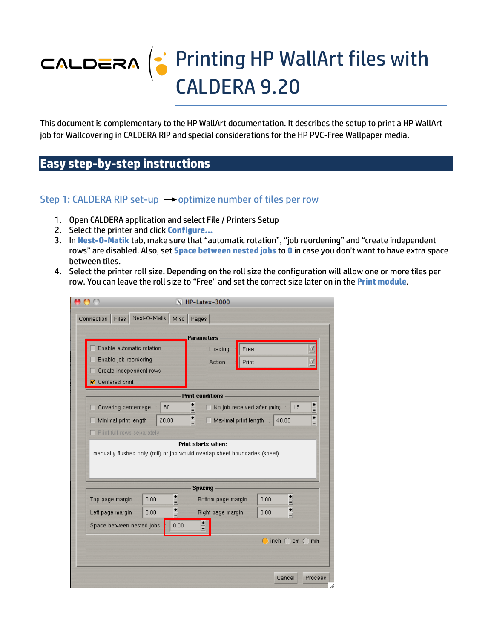# CALDERA | Printing HP WallArt files with CALDERA 9.20

This document is complementary to the HP WallArt documentation. It describes the setup to print a HP WallArt job for Wallcovering in CALDERA RIP and special considerations for the HP PVC-Free Wallpaper media.

# **Easy step-by-step instructions**

#### Step 1: CALDERA RIP set-up  $\rightarrow$  optimize number of tiles per row

- 1. Open CALDERA application and select File / Printers Setup
- 2. Select the printer and click **Configure…**
- 3. In **Nest-O-Matik** tab, make sure that "automatic rotation", "job reordening" and "create independent rows" are disabled. Also, set **Space between nested jobs** to **0** in case you don't want to have extra space between tiles.
- 4. Select the printer roll size. Depending on the roll size the configuration will allow one or more tiles per row. You can leave the roll size to "Free" and set the correct size later on in the **Print module**.

|                               |                                                                                                  | $X$ HP-Latex-3000       |                                             |                |
|-------------------------------|--------------------------------------------------------------------------------------------------|-------------------------|---------------------------------------------|----------------|
|                               | Connection   Files   Nest-O-Matik   Misc   Pages                                                 |                         |                                             |                |
|                               |                                                                                                  | <b>Parameters</b>       |                                             |                |
| Enable automatic rotation     |                                                                                                  | Loading                 | Free                                        |                |
| Enable job reordering         |                                                                                                  | Action                  | Print                                       |                |
| Create independent rows       |                                                                                                  |                         |                                             |                |
| <b>V</b> Centered print       |                                                                                                  |                         |                                             |                |
|                               |                                                                                                  | <b>Print conditions</b> |                                             |                |
| □ Covering percentage         | 80                                                                                               | $\equiv$                | No job received after (min)                 | $\equiv$<br>15 |
| $\Box$ Minimal print length : | 20.00                                                                                            | 릨                       | Maximal print length :<br>40.00             | $\mathbf{H}$   |
| Print full rows separately    |                                                                                                  |                         |                                             |                |
|                               | Print starts when:<br>manually flushed only (roll) or job would overlap sheet boundaries (sheet) |                         |                                             |                |
|                               |                                                                                                  | <b>Spacing</b>          |                                             |                |
| Top page margin<br>÷          | $\frac{1}{1}$<br>0.00                                                                            | Bottom page margin      | İ<br>0.00                                   |                |
| Left page margin              | 븨<br>0.00                                                                                        | Right page margin       | ▣<br>0.00                                   |                |
| Space between nested jobs     | 0.00                                                                                             | Ë                       |                                             |                |
|                               |                                                                                                  |                         | $\bigcirc$ inch $\bigcirc$ cm $\bigcirc$ mm |                |
|                               |                                                                                                  |                         |                                             |                |
|                               |                                                                                                  |                         |                                             |                |
|                               |                                                                                                  |                         |                                             |                |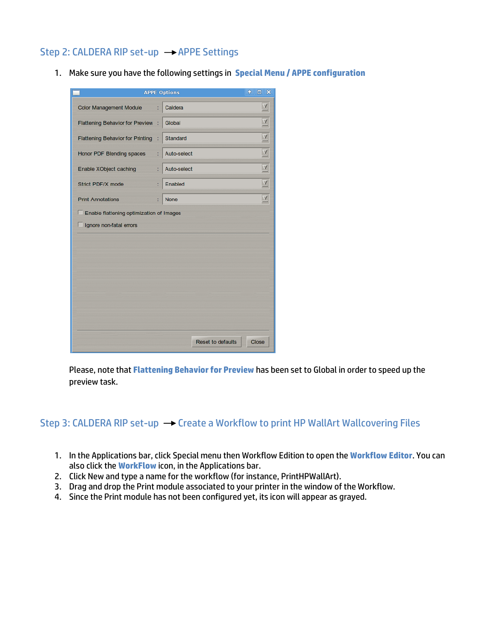#### Step 2: CALDERA RIP set-up  $\rightarrow$  APPE Settings

1. Make sure you have the following settings in **Special Menu / APPE configuration**

| $\ddot{\bullet}$<br><b>APPE Options</b>  |   |                          | $\Box$ $\times$     |
|------------------------------------------|---|--------------------------|---------------------|
| <b>Color Management Module</b>           | t | Caldera                  | $\overline{A}$      |
| <b>Flattening Behavior for Preview</b>   |   | Global                   | $\overline{A}$      |
| <b>Flattening Behavior for Printing</b>  |   | Standard                 | $\overline{A}$      |
| Honor PDF Blending spaces                | t | Auto-select              | $\overline{\Delta}$ |
| Enable XObject caching                   | t | Auto-select              | $\overline{A}$      |
| Strict PDF/X mode                        | t | Enabled                  | $\overline{\Delta}$ |
| <b>Print Annotations</b>                 | t | <b>None</b>              | $\overline{A}$      |
| Enable flattening optimization of Images |   |                          |                     |
| Ignore non-fatal errors                  |   |                          |                     |
|                                          |   |                          |                     |
|                                          |   |                          |                     |
|                                          |   |                          |                     |
|                                          |   |                          |                     |
|                                          |   |                          |                     |
|                                          |   |                          |                     |
|                                          |   |                          |                     |
|                                          |   |                          |                     |
|                                          |   | <b>Reset to defaults</b> | Close               |

Please, note that **Flattening Behavior for Preview** has been set to Global in order to speed up the preview task.

#### Step 3: CALDERA RIP set-up  $\rightarrow$  Create a Workflow to print HP WallArt Wallcovering Files

- 1. In the Applications bar, click Special menu then Workflow Edition to open the **Workflow Editor**. You can also click the **WorkFlow** icon, in the Applications bar.
- 2. Click New and type a name for the workflow (for instance, PrintHPWallArt).
- 3. Drag and drop the Print module associated to your printer in the window of the Workflow.
- 4. Since the Print module has not been configured yet, its icon will appear as grayed.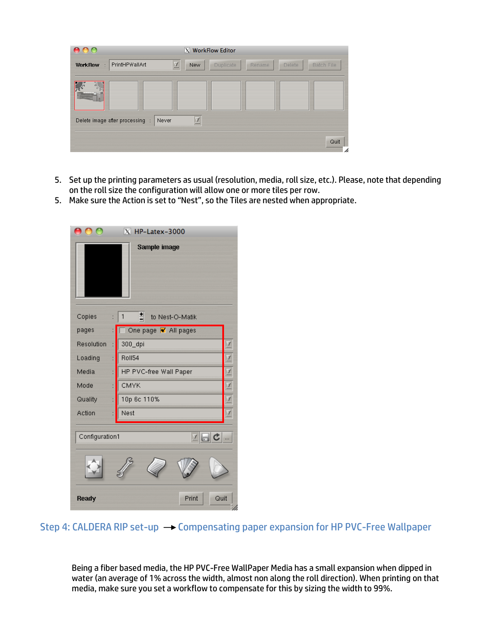| $\circ$                                                  | X WorkFlow Editor     |        |                             |
|----------------------------------------------------------|-----------------------|--------|-----------------------------|
| PrintHPWallArt<br><b>WorkFlow</b><br>$\cdot$             | 工<br>Duplicate<br>New | Rename | Delete<br><b>Batch File</b> |
|                                                          |                       |        |                             |
|                                                          |                       |        |                             |
| Delete image after processing<br>Never<br>$\ddot{\cdot}$ | 工                     |        |                             |
|                                                          |                       |        | Quit<br>h                   |

- 5. Set up the printing parameters as usual (resolution, media, roll size, etc.). Please, note that depending on the roll size the configuration will allow one or more tiles per row.
- 5. Make sure the Action is set to "Nest", so the Tiles are nested when appropriate.

| $X$ HP-Latex-3000      |                                      |   |  |
|------------------------|--------------------------------------|---|--|
| Sample image           |                                      |   |  |
| Copies                 | 븨<br>$\mathbf{1}$<br>to Nest-O-Matik |   |  |
| pages                  | One page M All pages                 |   |  |
| Resolution             | 300_dpi                              | Y |  |
| Loading                | Roll54                               | ¥ |  |
| Media                  | HP PVC-free Wall Paper               | Y |  |
| Mode                   | CMYK                                 | Y |  |
| Quality                | 10p 6c 110%                          | ¥ |  |
| Action                 | Nest                                 | Y |  |
| 지리지<br>Configuration1  |                                      |   |  |
| Quit<br>Print<br>Ready |                                      |   |  |

Step 4: CALDERA RIP set-up  $\rightarrow$  Compensating paper expansion for HP PVC-Free Wallpaper

Being a fiber based media, the HP PVC-Free WallPaper Media has a small expansion when dipped in water (an average of 1% across the width, almost non along the roll direction). When printing on that media, make sure you set a workflow to compensate for this by sizing the width to 99%.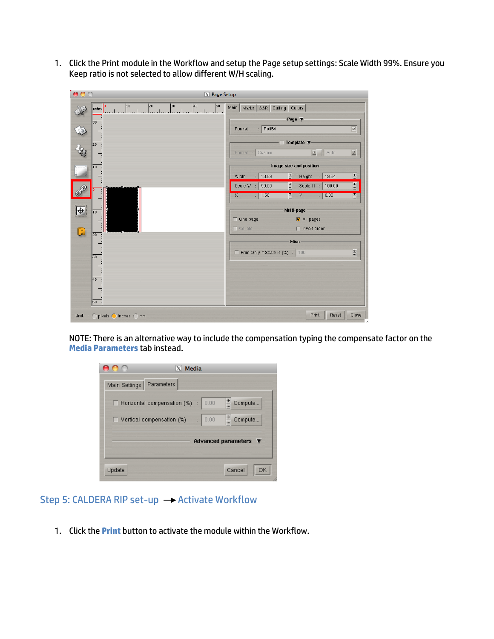1. Click the Print module in the Workflow and setup the Page setup settings: Scale Width 99%. Ensure you Keep ratio is not selected to allow different W/H scaling.

| A<br>Δ         | X Page Setup                                                                                |                                                                                                                                                     |
|----------------|---------------------------------------------------------------------------------------------|-----------------------------------------------------------------------------------------------------------------------------------------------------|
|                | 10<br>40<br> 20 <br>30<br>50<br>10<br>nches<br>بمباينها بتماعيها بمباعثها بمباعثها بمباعيته | Main   Marks   S&R   Cutting   Colors  <br>Page $\Psi$                                                                                              |
| $\hat{z}$      | $\overline{30}$                                                                             | $\overline{\lambda}$<br>Roll54<br>Format<br>÷                                                                                                       |
| ķ              | $\overline{20}$                                                                             | Template $\Psi$<br>$\overline{\lambda}$<br>Custom<br>$\overline{X}$<br>Auto<br>Format                                                               |
|                | 10                                                                                          | Image size and position                                                                                                                             |
|                |                                                                                             | ∃<br>E<br>13.89<br>Height<br>19.84<br>Width<br>$\mathbb{R}^+$<br>$\mathbb{R}^2$<br>E<br>$\overline{\Xi}$<br>Scale H :<br>100.00<br>Scale W<br>99.00 |
| $\blacksquare$ | 10                                                                                          | 1.56<br>∃<br>: 0.00<br>H<br>X<br>Y<br>÷.<br>Multi-page                                                                                              |
|                |                                                                                             | M All pages<br>One page<br>$\Box$ Collate<br>$\Box$ Invert order                                                                                    |
| Q              | $\overline{20}$                                                                             | <b>Misc</b>                                                                                                                                         |
|                | 50                                                                                          | E<br>Print Only if Scale is (%) : 100                                                                                                               |
|                | 40                                                                                          |                                                                                                                                                     |
|                | 50<br>Unit : $\bigcirc$ pixels $\bigcirc$ inches $\bigcirc$ mm                              | Print<br>Reset<br>Close                                                                                                                             |
|                |                                                                                             |                                                                                                                                                     |

NOTE: There is an alternative way to include the compensation typing the compensate factor on the **Media Parameters** tab instead.

|                            | $X$ Media                                               |      |                                          |
|----------------------------|---------------------------------------------------------|------|------------------------------------------|
| Main Settings   Parameters |                                                         |      |                                          |
|                            | $\Box$ Horizontal compensation (%) :                    | 0.00 | $\frac{1}{n}$ Compute                    |
|                            | $\sqrt{ }$ Vertical compensation (%) $\rightarrow$ 0.00 |      | $\frac{1}{2}$ Compute                    |
|                            |                                                         |      | Advanced parameters $\blacktriangledown$ |
|                            |                                                         |      |                                          |
| Update                     |                                                         |      | Cancel<br>ΟK                             |

## Step 5: CALDERA RIP set-up  $\rightarrow$  Activate Workflow

1. Click the **Print** button to activate the module within the Workflow.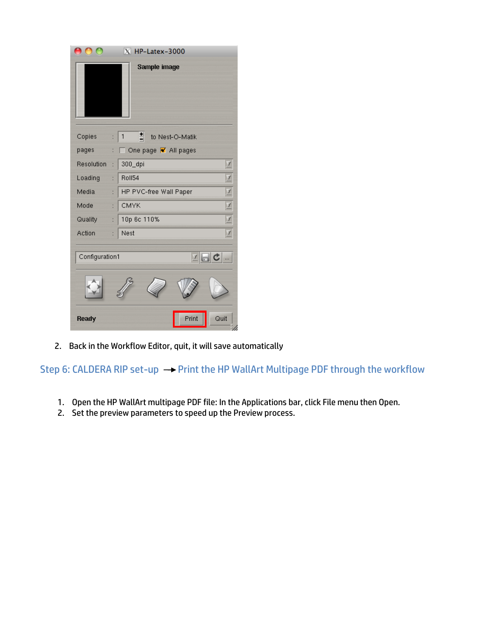|            | $\overline{X}$ HP-Latex-3000   |  |  |
|------------|--------------------------------|--|--|
|            | Sample image                   |  |  |
| Copies     | 힄<br>1<br>to Nest-O-Matik<br>÷ |  |  |
| pages      | One page M All pages           |  |  |
| Resolution | 300_dpi<br>$\overline{f}$      |  |  |
| Loading    | Z<br>Roll54<br>÷               |  |  |
| Media      | Z<br>HP PVC-free Wall Paper    |  |  |
| Mode       | Z<br>CMYK                      |  |  |
| Quality    | 10p 6c 110%<br>Z<br>t          |  |  |
| Action     | Nest<br>Z<br>÷                 |  |  |
|            | 지금 아<br>Configuration1         |  |  |
|            |                                |  |  |
| Ready      | Print<br>Quit                  |  |  |

2. Back in the Workflow Editor, quit, it will save automatically

Step 6: CALDERA RIP set-up  $\rightarrow$  Print the HP WallArt Multipage PDF through the workflow

- 1. Open the HP WallArt multipage PDF file: In the Applications bar, click File menu then Open.
- 2. Set the preview parameters to speed up the Preview process.